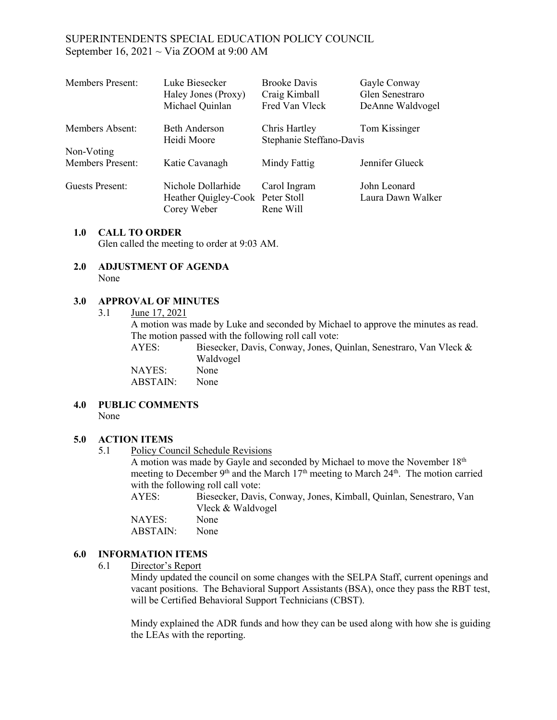## SUPERINTENDENTS SPECIAL EDUCATION POLICY COUNCIL September 16, 2021  $\sim$  Via ZOOM at 9:00 AM

| <b>Members Present:</b> | Luke Biesecker<br>Haley Jones (Proxy)<br>Michael Quinlan              | <b>Brooke Davis</b><br>Craig Kimball<br>Fred Van Vleck | Gayle Conway<br>Glen Senestraro<br>DeAnne Waldvogel |
|-------------------------|-----------------------------------------------------------------------|--------------------------------------------------------|-----------------------------------------------------|
| Members Absent:         | Beth Anderson<br>Heidi Moore                                          | Chris Hartley<br>Stephanie Steffano-Davis              | Tom Kissinger                                       |
| Non-Voting              |                                                                       |                                                        |                                                     |
| <b>Members Present:</b> | Katie Cavanagh                                                        | Mindy Fattig                                           | Jennifer Glueck                                     |
| Guests Present:         | Nichole Dollarhide<br>Heather Quigley-Cook Peter Stoll<br>Corey Weber | Carol Ingram<br>Rene Will                              | John Leonard<br>Laura Dawn Walker                   |

#### **1.0 CALL TO ORDER**

Glen called the meeting to order at 9:03 AM.

#### **2.0 ADJUSTMENT OF AGENDA** None

#### **3.0 APPROVAL OF MINUTES**

3.1 June 17, 2021

A motion was made by Luke and seconded by Michael to approve the minutes as read. The motion passed with the following roll call vote:

AYES: Biesecker, Davis, Conway, Jones, Quinlan, Senestraro, Van Vleck & Waldvogel NAYES: None ABSTAIN: None

#### **4.0 PUBLIC COMMENTS**  None

### **5.0 ACTION ITEMS**

5.1 Policy Council Schedule Revisions

A motion was made by Gayle and seconded by Michael to move the November 18th meeting to December 9<sup>th</sup> and the March  $17<sup>th</sup>$  meeting to March  $24<sup>th</sup>$ . The motion carried with the following roll call vote:

| AYES:  | Biesecker, Davis, Conway, Jones, Kimball, Quinlan, Senestraro, Van |
|--------|--------------------------------------------------------------------|
|        | Vleck & Waldvogel                                                  |
| NAYES: | None                                                               |

## ABSTAIN: None

### **6.0 INFORMATION ITEMS**

### 6.1 Director's Report

Mindy updated the council on some changes with the SELPA Staff, current openings and vacant positions. The Behavioral Support Assistants (BSA), once they pass the RBT test, will be Certified Behavioral Support Technicians (CBST).

Mindy explained the ADR funds and how they can be used along with how she is guiding the LEAs with the reporting.